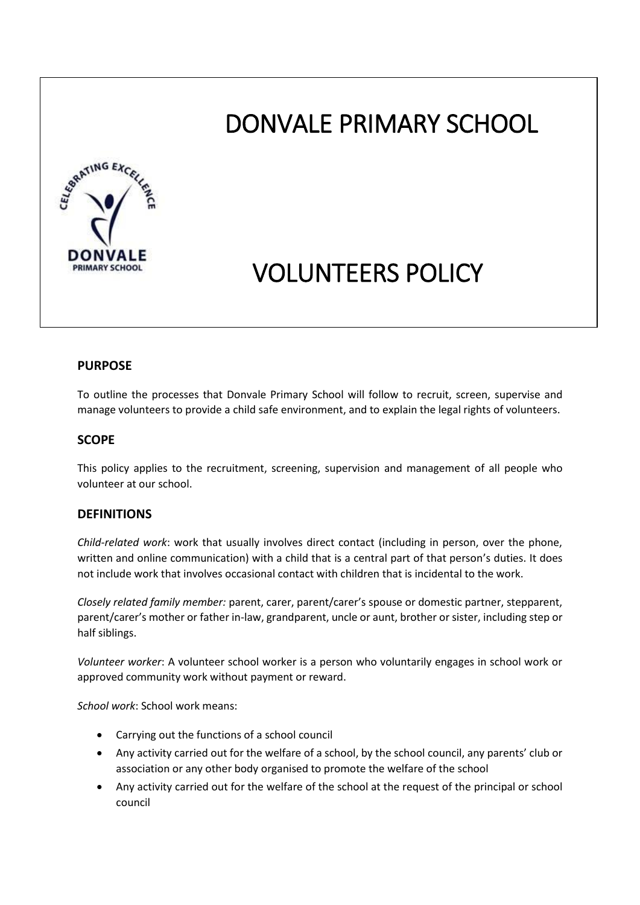# DONVALE PRIMARY SCHOOL



# VOLUNTEERS POLICY

# **PURPOSE**

To outline the processes that Donvale Primary School will follow to recruit, screen, supervise and manage volunteers to provide a child safe environment, and to explain the legal rights of volunteers.

# **SCOPE**

This policy applies to the recruitment, screening, supervision and management of all people who volunteer at our school.

# **DEFINITIONS**

*Child-related work*: work that usually involves direct contact (including in person, over the phone, written and online communication) with a child that is a central part of that person's duties. It does not include work that involves occasional contact with children that is incidental to the work.

*Closely related family member:* parent, carer, parent/carer's spouse or domestic partner, stepparent, parent/carer's mother or father in-law, grandparent, uncle or aunt, brother or sister, including step or half siblings.

*Volunteer worker*: A volunteer school worker is a person who voluntarily engages in school work or approved community work without payment or reward.

*School work*: School work means:

- Carrying out the functions of a school council
- Any activity carried out for the welfare of a school, by the school council, any parents' club or association or any other body organised to promote the welfare of the school
- Any activity carried out for the welfare of the school at the request of the principal or school council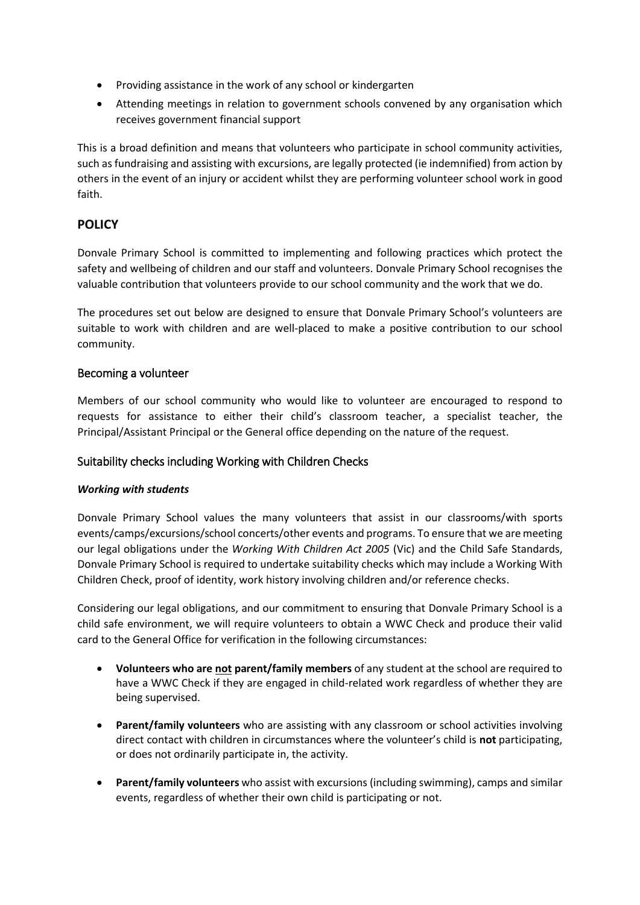- Providing assistance in the work of any school or kindergarten
- Attending meetings in relation to government schools convened by any organisation which receives government financial support

This is a broad definition and means that volunteers who participate in school community activities, such as fundraising and assisting with excursions, are legally protected (ie indemnified) from action by others in the event of an injury or accident whilst they are performing volunteer school work in good faith.

# **POLICY**

Donvale Primary School is committed to implementing and following practices which protect the safety and wellbeing of children and our staff and volunteers. Donvale Primary School recognises the valuable contribution that volunteers provide to our school community and the work that we do.

The procedures set out below are designed to ensure that Donvale Primary School's volunteers are suitable to work with children and are well-placed to make a positive contribution to our school community.

# Becoming a volunteer

Members of our school community who would like to volunteer are encouraged to respond to requests for assistance to either their child's classroom teacher, a specialist teacher, the Principal/Assistant Principal or the General office depending on the nature of the request.

# Suitability checks including Working with Children Checks

# *Working with students*

Donvale Primary School values the many volunteers that assist in our classrooms/with sports events/camps/excursions/school concerts/other events and programs. To ensure that we are meeting our legal obligations under the *Working With Children Act 2005* (Vic) and the Child Safe Standards, Donvale Primary School is required to undertake suitability checks which may include a Working With Children Check, proof of identity, work history involving children and/or reference checks.

Considering our legal obligations, and our commitment to ensuring that Donvale Primary School is a child safe environment, we will require volunteers to obtain a WWC Check and produce their valid card to the General Office for verification in the following circumstances:

- **Volunteers who are not parent/family members** of any student at the school are required to have a WWC Check if they are engaged in child-related work regardless of whether they are being supervised.
- **•** Parent/family volunteers who are assisting with any classroom or school activities involving direct contact with children in circumstances where the volunteer's child is **not** participating, or does not ordinarily participate in, the activity.
- **Parent/family volunteers** who assist with excursions (including swimming), camps and similar events, regardless of whether their own child is participating or not.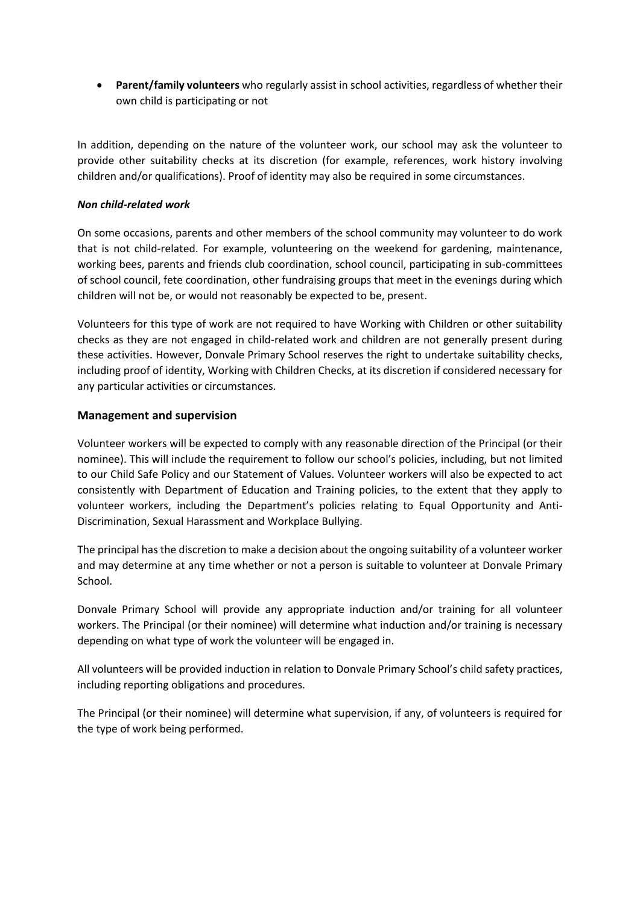**Parent/family volunteers** who regularly assist in school activities, regardless of whether their own child is participating or not

In addition, depending on the nature of the volunteer work, our school may ask the volunteer to provide other suitability checks at its discretion (for example, references, work history involving children and/or qualifications). Proof of identity may also be required in some circumstances.

#### *Non child-related work*

On some occasions, parents and other members of the school community may volunteer to do work that is not child-related. For example, volunteering on the weekend for gardening, maintenance, working bees, parents and friends club coordination, school council, participating in sub-committees of school council, fete coordination, other fundraising groups that meet in the evenings during which children will not be, or would not reasonably be expected to be, present.

Volunteers for this type of work are not required to have Working with Children or other suitability checks as they are not engaged in child-related work and children are not generally present during these activities. However, Donvale Primary School reserves the right to undertake suitability checks, including proof of identity, Working with Children Checks, at its discretion if considered necessary for any particular activities or circumstances.

# **Management and supervision**

Volunteer workers will be expected to comply with any reasonable direction of the Principal (or their nominee). This will include the requirement to follow our school's policies, including, but not limited to our Child Safe Policy and our Statement of Values. Volunteer workers will also be expected to act consistently with Department of Education and Training policies, to the extent that they apply to volunteer workers, including the Department's policies relating to Equal Opportunity and Anti-Discrimination, Sexual Harassment and Workplace Bullying.

The principal has the discretion to make a decision about the ongoing suitability of a volunteer worker and may determine at any time whether or not a person is suitable to volunteer at Donvale Primary School.

Donvale Primary School will provide any appropriate induction and/or training for all volunteer workers. The Principal (or their nominee) will determine what induction and/or training is necessary depending on what type of work the volunteer will be engaged in.

All volunteers will be provided induction in relation to Donvale Primary School's child safety practices, including reporting obligations and procedures.

The Principal (or their nominee) will determine what supervision, if any, of volunteers is required for the type of work being performed.